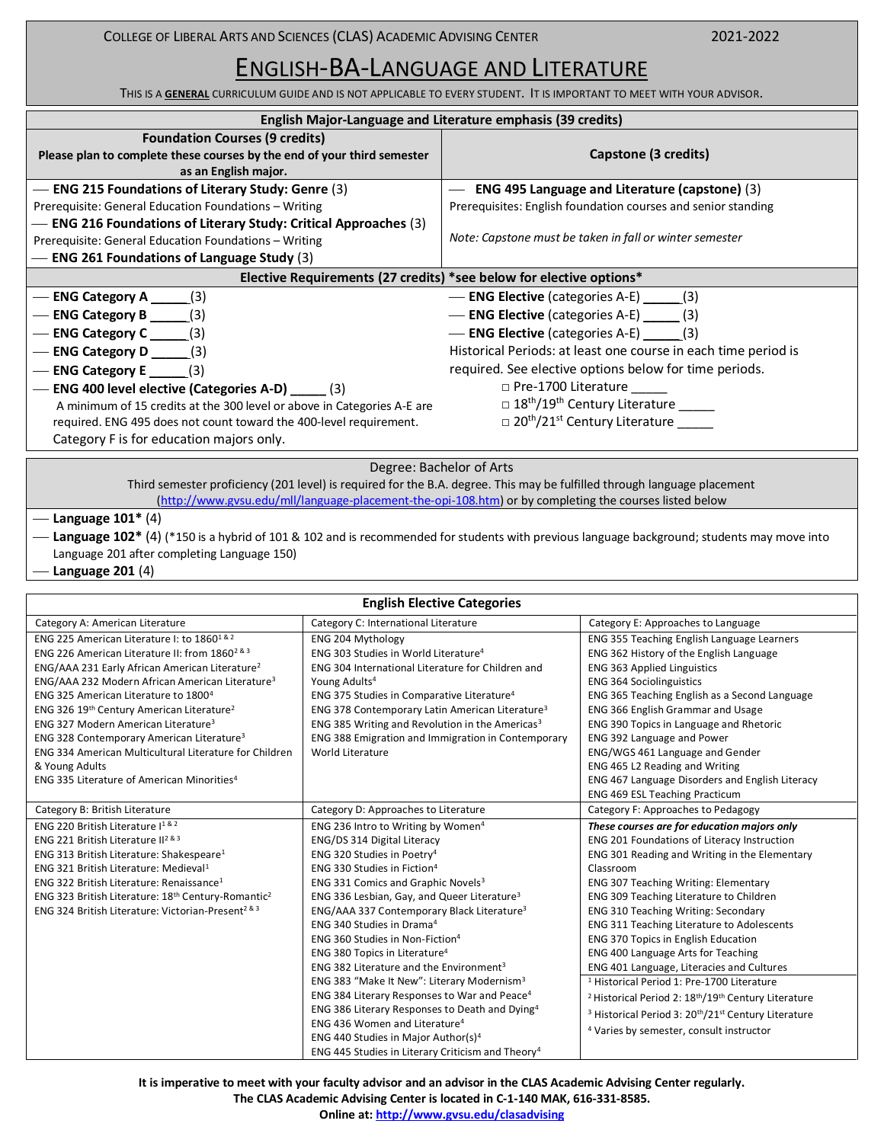COLLEGE OF LIBERAL ARTS AND SCIENCES (CLAS) ACADEMIC ADVISING CENTER 2021-2022

# ENGLISH-BA-LANGUAGE AND LITERATURE

THIS IS A **GENERAL** CURRICULUM GUIDE AND IS NOT APPLICABLE TO EVERY STUDENT. IT IS IMPORTANT TO MEET WITH YOUR ADVISOR.

| English Major-Language and Literature emphasis (39 credits)                                                                                                                                                                                                                                                                                                                                               |                                                                                                                                                                                                                                                                                                                                                                                                                |  |  |
|-----------------------------------------------------------------------------------------------------------------------------------------------------------------------------------------------------------------------------------------------------------------------------------------------------------------------------------------------------------------------------------------------------------|----------------------------------------------------------------------------------------------------------------------------------------------------------------------------------------------------------------------------------------------------------------------------------------------------------------------------------------------------------------------------------------------------------------|--|--|
| <b>Foundation Courses (9 credits)</b><br>Please plan to complete these courses by the end of your third semester<br>as an English major.                                                                                                                                                                                                                                                                  | Capstone (3 credits)                                                                                                                                                                                                                                                                                                                                                                                           |  |  |
| - ENG 215 Foundations of Literary Study: Genre (3)<br>Prerequisite: General Education Foundations - Writing<br>— ENG 216 Foundations of Literary Study: Critical Approaches (3)<br>Prerequisite: General Education Foundations - Writing<br><b>ENG 261 Foundations of Language Study (3)</b>                                                                                                              | ENG 495 Language and Literature (capstone) (3)<br>Prerequisites: English foundation courses and senior standing<br>Note: Capstone must be taken in fall or winter semester                                                                                                                                                                                                                                     |  |  |
| Elective Requirements (27 credits) *see below for elective options*                                                                                                                                                                                                                                                                                                                                       |                                                                                                                                                                                                                                                                                                                                                                                                                |  |  |
| — ENG Category A $\qquad$ (3)<br>— ENG Category B $\qquad$ (3)<br>$-$ ENG Category C $(3)$<br>$-$ ENG Category D $(3)$<br>- ENG Category E $\qquad$ (3)<br>ENG 400 level elective (Categories A-D) _____ (3)<br>A minimum of 15 credits at the 300 level or above in Categories A-E are<br>required. ENG 495 does not count toward the 400-level requirement.<br>Category F is for education majors only. | - ENG Elective (categories A-E) ______(3)<br>- ENG Elective (categories A-E) (3)<br>- ENG Elective (categories A-E) (3)<br>Historical Periods: at least one course in each time period is<br>required. See elective options below for time periods.<br>□ Pre-1700 Literature<br>□ 18 <sup>th</sup> /19 <sup>th</sup> Century Literature _____<br>□ 20 <sup>th</sup> /21 <sup>st</sup> Century Literature _____ |  |  |
| Degree: Bachelor of Arts                                                                                                                                                                                                                                                                                                                                                                                  |                                                                                                                                                                                                                                                                                                                                                                                                                |  |  |

Third semester proficiency (201 level) is required for the B.A. degree. This may be fulfilled through language placement [\(http://www.gvsu.edu/mll/language-placement-the-opi-108.htm\)](http://www.gvsu.edu/mll/language-placement-the-opi-108.htm) or by completing the courses listed below

#### ⎯ **Language 101\*** (4)

⎯ **Language 102\*** (4) (\*150 is a hybrid of 101 & 102 and is recommended for students with previous language background; students may move into Language 201 after completing Language 150)

#### ⎯ **Language 201** (4)

#### **English Elective Categories** Category A: American Literature **Category C: International Literature** Category C: Category E: Approaches to Language ENG 225 American Literature I: to 1860<sup>1 & 2</sup> ENG 226 American Literature II: from 1860<sup>2 & 3</sup> ENG/AAA 231 Early African American Literature<sup>2</sup> ENG/AAA 232 Modern African American Literature<sup>3</sup> ENG 325 American Literature to 1800<sup>4</sup> ENG 326 19th Century American Literature<sup>2</sup> ENG 327 Modern American Literature<sup>3</sup> ENG 328 Contemporary American Literature<sup>3</sup> ENG 334 American Multicultural Literature for Children & Young Adults ENG 335 Literature of American Minorities<sup>4</sup> ENG 204 Mythology ENG 303 Studies in World Literature<sup>4</sup> ENG 304 International Literature for Children and Young Adults<sup>4</sup> ENG 375 Studies in Comparative Literature<sup>4</sup> ENG 378 Contemporary Latin American Literature<sup>3</sup> ENG 385 Writing and Revolution in the Americas<sup>3</sup> ENG 388 Emigration and Immigration in Contemporary World Literature ENG 355 Teaching English Language Learners ENG 362 History of the English Language ENG 363 Applied Linguistics ENG 364 Sociolinguistics ENG 365 Teaching English as a Second Language ENG 366 English Grammar and Usage ENG 390 Topics in Language and Rhetoric ENG 392 Language and Power ENG/WGS 461 Language and Gender ENG 465 L2 Reading and Writing ENG 467 Language Disorders and English Literacy ENG 469 ESL Teaching Practicum Category B: British Literature Category D: Approaches to Literature Category F: Approaches to Pedagogy ENG 220 British Literature I<sup>1 & 2</sup> ENG 221 British Literature II<sup>2</sup> & 3 ENG 313 British Literature: Shakespeare<sup>1</sup> ENG 321 British Literature: Medieval<sup>1</sup> ENG 322 British Literature: Renaissance<sup>1</sup> ENG 323 British Literature: 18th Century-Romantic<sup>2</sup> ENG 324 British Literature: Victorian-Present2 & 3 ENG 236 Intro to Writing by Women<sup>4</sup> ENG/DS 314 Digital Literacy ENG 320 Studies in Poetry<sup>4</sup> ENG 330 Studies in Fiction<sup>4</sup> ENG 331 Comics and Graphic Novels<sup>3</sup> ENG 336 Lesbian, Gay, and Queer Literature<sup>3</sup> ENG/AAA 337 Contemporary Black Literature<sup>3</sup> ENG 340 Studies in Drama<sup>4</sup> ENG 360 Studies in Non-Fiction<sup>4</sup> ENG 380 Topics in Literature<sup>4</sup> ENG 382 Literature and the Environment<sup>3</sup> ENG 383 "Make It New": Literary Modernism<sup>3</sup> ENG 384 Literary Responses to War and Peace<sup>4</sup> ENG 386 Literary Responses to Death and Dying<sup>4</sup> ENG 436 Women and Literature<sup>4</sup> ENG 440 Studies in Major Author(s)<sup>4</sup> ENG 445 Studies in Literary Criticism and Theory<sup>4</sup> *These courses are for education majors only* ENG 201 Foundations of Literacy Instruction ENG 301 Reading and Writing in the Elementary Classroom ENG 307 Teaching Writing: Elementary ENG 309 Teaching Literature to Children ENG 310 Teaching Writing: Secondary ENG 311 Teaching Literature to Adolescents ENG 370 Topics in English Education ENG 400 Language Arts for Teaching ENG 401 Language, Literacies and Cultures <sup>1</sup> Historical Period 1: Pre-1700 Literature <sup>2</sup> Historical Period 2: 18<sup>th</sup>/19<sup>th</sup> Century Literature <sup>3</sup> Historical Period 3: 20<sup>th</sup>/21<sup>st</sup> Century Literature <sup>4</sup> Varies by semester, consult instructor

**It is imperative to meet with your faculty advisor and an advisor in the CLAS Academic Advising Center regularly.** 

**The CLAS Academic Advising Center is located in C-1-140 MAK, 616-331-8585.**

**Online at[: http://www.gvsu.edu/clasadvising](http://www.gvsu.edu/clasadvising)**